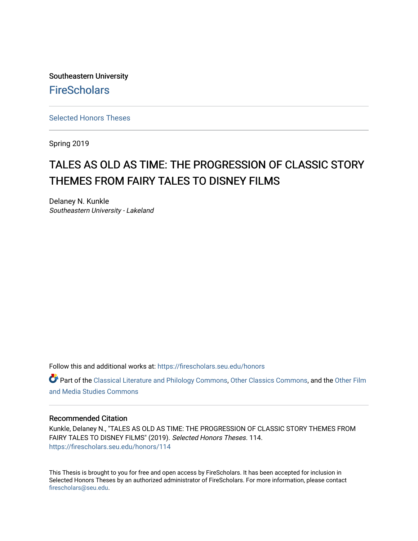Southeastern University **FireScholars** 

[Selected Honors Theses](https://firescholars.seu.edu/honors)

Spring 2019

# TALES AS OLD AS TIME: THE PROGRESSION OF CLASSIC STORY THEMES FROM FAIRY TALES TO DISNEY FILMS

Delaney N. Kunkle Southeastern University - Lakeland

Follow this and additional works at: [https://firescholars.seu.edu/honors](https://firescholars.seu.edu/honors?utm_source=firescholars.seu.edu%2Fhonors%2F114&utm_medium=PDF&utm_campaign=PDFCoverPages)

Part of the [Classical Literature and Philology Commons](http://network.bepress.com/hgg/discipline/451?utm_source=firescholars.seu.edu%2Fhonors%2F114&utm_medium=PDF&utm_campaign=PDFCoverPages), [Other Classics Commons,](http://network.bepress.com/hgg/discipline/453?utm_source=firescholars.seu.edu%2Fhonors%2F114&utm_medium=PDF&utm_campaign=PDFCoverPages) and the [Other Film](http://network.bepress.com/hgg/discipline/565?utm_source=firescholars.seu.edu%2Fhonors%2F114&utm_medium=PDF&utm_campaign=PDFCoverPages)  [and Media Studies Commons](http://network.bepress.com/hgg/discipline/565?utm_source=firescholars.seu.edu%2Fhonors%2F114&utm_medium=PDF&utm_campaign=PDFCoverPages) 

# Recommended Citation

Kunkle, Delaney N., "TALES AS OLD AS TIME: THE PROGRESSION OF CLASSIC STORY THEMES FROM FAIRY TALES TO DISNEY FILMS" (2019). Selected Honors Theses. 114. [https://firescholars.seu.edu/honors/114](https://firescholars.seu.edu/honors/114?utm_source=firescholars.seu.edu%2Fhonors%2F114&utm_medium=PDF&utm_campaign=PDFCoverPages)

This Thesis is brought to you for free and open access by FireScholars. It has been accepted for inclusion in Selected Honors Theses by an authorized administrator of FireScholars. For more information, please contact [firescholars@seu.edu.](mailto:firescholars@seu.edu)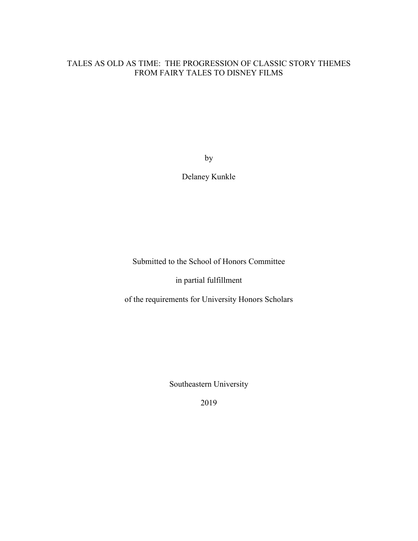# TALES AS OLD AS TIME: THE PROGRESSION OF CLASSIC STORY THEMES FROM FAIRY TALES TO DISNEY FILMS

by

Delaney Kunkle

Submitted to the School of Honors Committee

in partial fulfillment

of the requirements for University Honors Scholars

Southeastern University

2019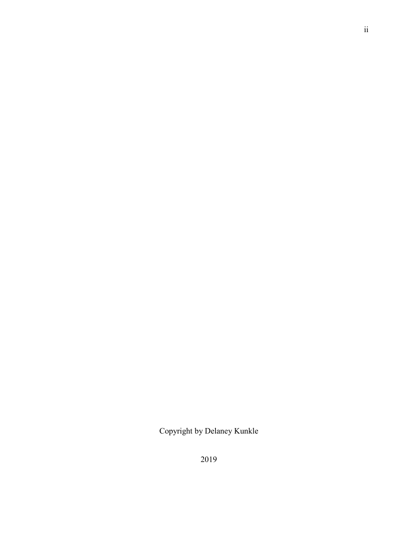Copyright by Delaney Kunkle

ii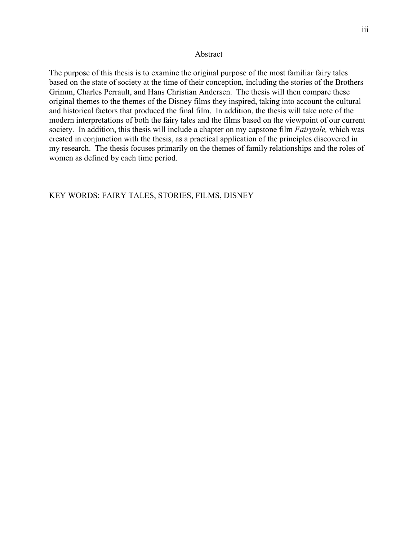#### Abstract

The purpose of this thesis is to examine the original purpose of the most familiar fairy tales based on the state of society at the time of their conception, including the stories of the Brothers Grimm, Charles Perrault, and Hans Christian Andersen. The thesis will then compare these original themes to the themes of the Disney films they inspired, taking into account the cultural and historical factors that produced the final film. In addition, the thesis will take note of the modern interpretations of both the fairy tales and the films based on the viewpoint of our current society. In addition, this thesis will include a chapter on my capstone film *Fairytale,* which was created in conjunction with the thesis, as a practical application of the principles discovered in my research. The thesis focuses primarily on the themes of family relationships and the roles of women as defined by each time period.

# KEY WORDS: FAIRY TALES, STORIES, FILMS, DISNEY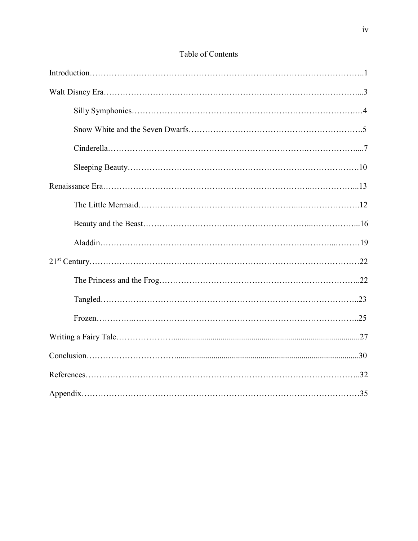# Table of Contents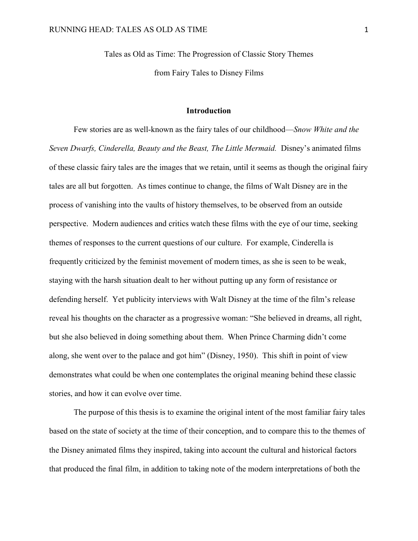Tales as Old as Time: The Progression of Classic Story Themes

from Fairy Tales to Disney Films

#### **Introduction**

Few stories are as well-known as the fairy tales of our childhood—*Snow White and the Seven Dwarfs, Cinderella, Beauty and the Beast, The Little Mermaid. Disney's animated films* of these classic fairy tales are the images that we retain, until it seems as though the original fairy tales are all but forgotten. As times continue to change, the films of Walt Disney are in the process of vanishing into the vaults of history themselves, to be observed from an outside perspective. Modern audiences and critics watch these films with the eye of our time, seeking themes of responses to the current questions of our culture. For example, Cinderella is frequently criticized by the feminist movement of modern times, as she is seen to be weak, staying with the harsh situation dealt to her without putting up any form of resistance or defending herself. Yet publicity interviews with Walt Disney at the time of the film's release reveal his thoughts on the character as a progressive woman: "She believed in dreams, all right, but she also believed in doing something about them. When Prince Charming didn't come along, she went over to the palace and got him" (Disney, 1950). This shift in point of view demonstrates what could be when one contemplates the original meaning behind these classic stories, and how it can evolve over time.

The purpose of this thesis is to examine the original intent of the most familiar fairy tales based on the state of society at the time of their conception, and to compare this to the themes of the Disney animated films they inspired, taking into account the cultural and historical factors that produced the final film, in addition to taking note of the modern interpretations of both the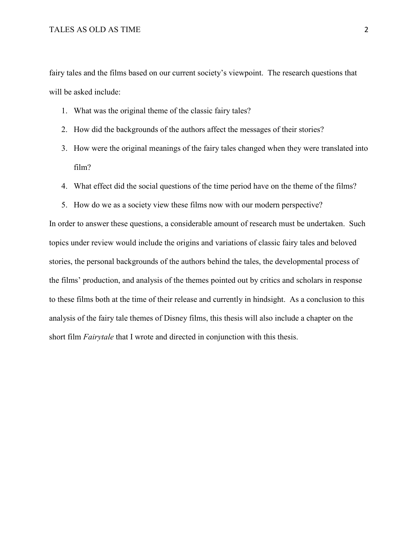fairy tales and the films based on our current society's viewpoint. The research questions that will be asked include:

- 1. What was the original theme of the classic fairy tales?
- 2. How did the backgrounds of the authors affect the messages of their stories?
- 3. How were the original meanings of the fairy tales changed when they were translated into film?
- 4. What effect did the social questions of the time period have on the theme of the films?
- 5. How do we as a society view these films now with our modern perspective?

In order to answer these questions, a considerable amount of research must be undertaken. Such topics under review would include the origins and variations of classic fairy tales and beloved stories, the personal backgrounds of the authors behind the tales, the developmental process of the films' production, and analysis of the themes pointed out by critics and scholars in response to these films both at the time of their release and currently in hindsight. As a conclusion to this analysis of the fairy tale themes of Disney films, this thesis will also include a chapter on the short film *Fairytale* that I wrote and directed in conjunction with this thesis.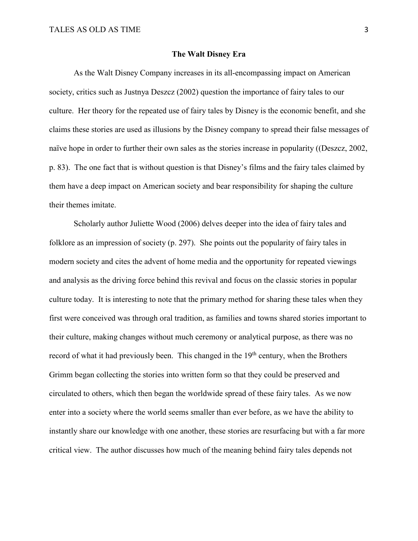#### **The Walt Disney Era**

As the Walt Disney Company increases in its all-encompassing impact on American society, critics such as Justnya Deszcz (2002) question the importance of fairy tales to our culture. Her theory for the repeated use of fairy tales by Disney is the economic benefit, and she claims these stories are used as illusions by the Disney company to spread their false messages of naïve hope in order to further their own sales as the stories increase in popularity ((Deszcz, 2002, p. 83). The one fact that is without question is that Disney's films and the fairy tales claimed by them have a deep impact on American society and bear responsibility for shaping the culture their themes imitate.

Scholarly author Juliette Wood (2006) delves deeper into the idea of fairy tales and folklore as an impression of society (p. 297). She points out the popularity of fairy tales in modern society and cites the advent of home media and the opportunity for repeated viewings and analysis as the driving force behind this revival and focus on the classic stories in popular culture today. It is interesting to note that the primary method for sharing these tales when they first were conceived was through oral tradition, as families and towns shared stories important to their culture, making changes without much ceremony or analytical purpose, as there was no record of what it had previously been. This changed in the 19<sup>th</sup> century, when the Brothers Grimm began collecting the stories into written form so that they could be preserved and circulated to others, which then began the worldwide spread of these fairy tales. As we now enter into a society where the world seems smaller than ever before, as we have the ability to instantly share our knowledge with one another, these stories are resurfacing but with a far more critical view. The author discusses how much of the meaning behind fairy tales depends not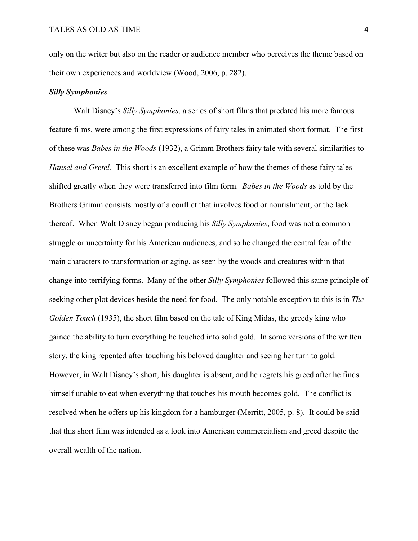only on the writer but also on the reader or audience member who perceives the theme based on their own experiences and worldview (Wood, 2006, p. 282).

#### *Silly Symphonies*

Walt Disney's *Silly Symphonies*, a series of short films that predated his more famous feature films, were among the first expressions of fairy tales in animated short format. The first of these was *Babes in the Woods* (1932), a Grimm Brothers fairy tale with several similarities to *Hansel and Gretel.* This short is an excellent example of how the themes of these fairy tales shifted greatly when they were transferred into film form. *Babes in the Woods* as told by the Brothers Grimm consists mostly of a conflict that involves food or nourishment, or the lack thereof. When Walt Disney began producing his *Silly Symphonies*, food was not a common struggle or uncertainty for his American audiences, and so he changed the central fear of the main characters to transformation or aging, as seen by the woods and creatures within that change into terrifying forms. Many of the other *Silly Symphonies* followed this same principle of seeking other plot devices beside the need for food. The only notable exception to this is in *The Golden Touch* (1935), the short film based on the tale of King Midas, the greedy king who gained the ability to turn everything he touched into solid gold. In some versions of the written story, the king repented after touching his beloved daughter and seeing her turn to gold. However, in Walt Disney's short, his daughter is absent, and he regrets his greed after he finds himself unable to eat when everything that touches his mouth becomes gold. The conflict is resolved when he offers up his kingdom for a hamburger (Merritt, 2005, p. 8). It could be said that this short film was intended as a look into American commercialism and greed despite the overall wealth of the nation.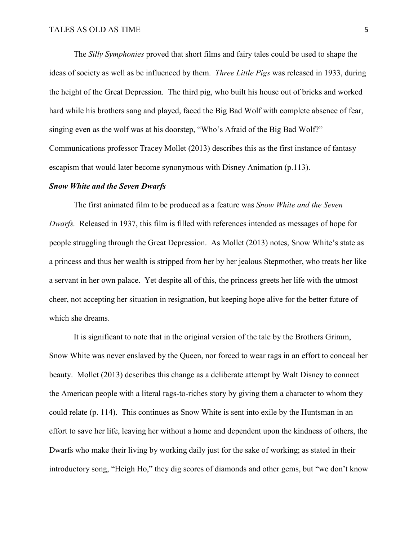The *Silly Symphonies* proved that short films and fairy tales could be used to shape the ideas of society as well as be influenced by them. *Three Little Pigs* was released in 1933, during the height of the Great Depression. The third pig, who built his house out of bricks and worked hard while his brothers sang and played, faced the Big Bad Wolf with complete absence of fear, singing even as the wolf was at his doorstep, "Who's Afraid of the Big Bad Wolf?" Communications professor Tracey Mollet (2013) describes this as the first instance of fantasy escapism that would later become synonymous with Disney Animation (p.113).

#### *Snow White and the Seven Dwarfs*

The first animated film to be produced as a feature was *Snow White and the Seven Dwarfs.* Released in 1937, this film is filled with references intended as messages of hope for people struggling through the Great Depression. As Mollet (2013) notes, Snow White's state as a princess and thus her wealth is stripped from her by her jealous Stepmother, who treats her like a servant in her own palace. Yet despite all of this, the princess greets her life with the utmost cheer, not accepting her situation in resignation, but keeping hope alive for the better future of which she dreams.

It is significant to note that in the original version of the tale by the Brothers Grimm, Snow White was never enslaved by the Queen, nor forced to wear rags in an effort to conceal her beauty. Mollet (2013) describes this change as a deliberate attempt by Walt Disney to connect the American people with a literal rags-to-riches story by giving them a character to whom they could relate (p. 114). This continues as Snow White is sent into exile by the Huntsman in an effort to save her life, leaving her without a home and dependent upon the kindness of others, the Dwarfs who make their living by working daily just for the sake of working; as stated in their introductory song, "Heigh Ho," they dig scores of diamonds and other gems, but "we don't know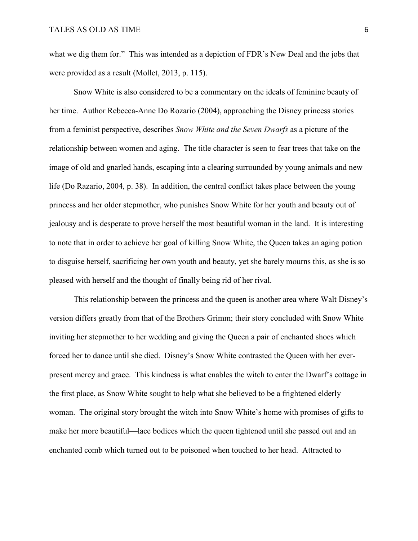what we dig them for." This was intended as a depiction of FDR's New Deal and the jobs that were provided as a result (Mollet, 2013, p. 115).

Snow White is also considered to be a commentary on the ideals of feminine beauty of her time. Author Rebecca-Anne Do Rozario (2004), approaching the Disney princess stories from a feminist perspective, describes *Snow White and the Seven Dwarfs* as a picture of the relationship between women and aging. The title character is seen to fear trees that take on the image of old and gnarled hands, escaping into a clearing surrounded by young animals and new life (Do Razario, 2004, p. 38). In addition, the central conflict takes place between the young princess and her older stepmother, who punishes Snow White for her youth and beauty out of jealousy and is desperate to prove herself the most beautiful woman in the land. It is interesting to note that in order to achieve her goal of killing Snow White, the Queen takes an aging potion to disguise herself, sacrificing her own youth and beauty, yet she barely mourns this, as she is so pleased with herself and the thought of finally being rid of her rival.

This relationship between the princess and the queen is another area where Walt Disney's version differs greatly from that of the Brothers Grimm; their story concluded with Snow White inviting her stepmother to her wedding and giving the Queen a pair of enchanted shoes which forced her to dance until she died. Disney's Snow White contrasted the Queen with her everpresent mercy and grace. This kindness is what enables the witch to enter the Dwarf's cottage in the first place, as Snow White sought to help what she believed to be a frightened elderly woman. The original story brought the witch into Snow White's home with promises of gifts to make her more beautiful—lace bodices which the queen tightened until she passed out and an enchanted comb which turned out to be poisoned when touched to her head. Attracted to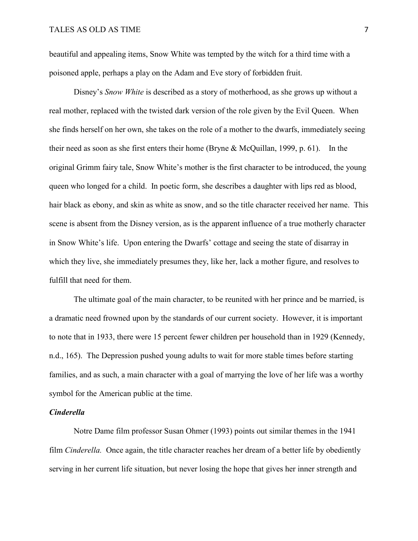beautiful and appealing items, Snow White was tempted by the witch for a third time with a poisoned apple, perhaps a play on the Adam and Eve story of forbidden fruit.

Disney's *Snow White* is described as a story of motherhood, as she grows up without a real mother, replaced with the twisted dark version of the role given by the Evil Queen. When she finds herself on her own, she takes on the role of a mother to the dwarfs, immediately seeing their need as soon as she first enters their home (Bryne & McQuillan, 1999, p. 61). In the original Grimm fairy tale, Snow White's mother is the first character to be introduced, the young queen who longed for a child. In poetic form, she describes a daughter with lips red as blood, hair black as ebony, and skin as white as snow, and so the title character received her name. This scene is absent from the Disney version, as is the apparent influence of a true motherly character in Snow White's life. Upon entering the Dwarfs' cottage and seeing the state of disarray in which they live, she immediately presumes they, like her, lack a mother figure, and resolves to fulfill that need for them.

The ultimate goal of the main character, to be reunited with her prince and be married, is a dramatic need frowned upon by the standards of our current society. However, it is important to note that in 1933, there were 15 percent fewer children per household than in 1929 (Kennedy, n.d., 165). The Depression pushed young adults to wait for more stable times before starting families, and as such, a main character with a goal of marrying the love of her life was a worthy symbol for the American public at the time.

# *Cinderella*

Notre Dame film professor Susan Ohmer (1993) points out similar themes in the 1941 film *Cinderella.* Once again, the title character reaches her dream of a better life by obediently serving in her current life situation, but never losing the hope that gives her inner strength and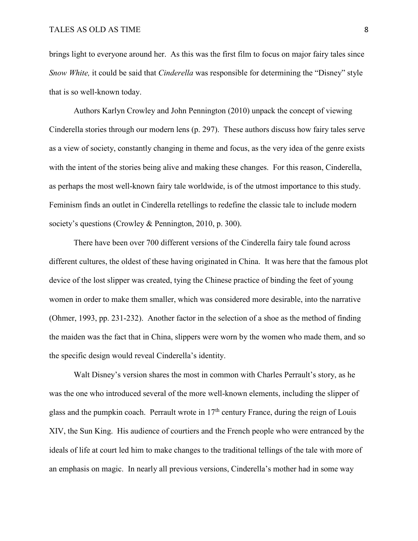brings light to everyone around her. As this was the first film to focus on major fairy tales since *Snow White,* it could be said that *Cinderella* was responsible for determining the "Disney" style that is so well-known today.

Authors Karlyn Crowley and John Pennington (2010) unpack the concept of viewing Cinderella stories through our modern lens (p. 297). These authors discuss how fairy tales serve as a view of society, constantly changing in theme and focus, as the very idea of the genre exists with the intent of the stories being alive and making these changes. For this reason, Cinderella, as perhaps the most well-known fairy tale worldwide, is of the utmost importance to this study. Feminism finds an outlet in Cinderella retellings to redefine the classic tale to include modern society's questions (Crowley & Pennington, 2010, p. 300).

There have been over 700 different versions of the Cinderella fairy tale found across different cultures, the oldest of these having originated in China. It was here that the famous plot device of the lost slipper was created, tying the Chinese practice of binding the feet of young women in order to make them smaller, which was considered more desirable, into the narrative (Ohmer, 1993, pp. 231-232). Another factor in the selection of a shoe as the method of finding the maiden was the fact that in China, slippers were worn by the women who made them, and so the specific design would reveal Cinderella's identity.

Walt Disney's version shares the most in common with Charles Perrault's story, as he was the one who introduced several of the more well-known elements, including the slipper of glass and the pumpkin coach. Perrault wrote in  $17<sup>th</sup>$  century France, during the reign of Louis XIV, the Sun King. His audience of courtiers and the French people who were entranced by the ideals of life at court led him to make changes to the traditional tellings of the tale with more of an emphasis on magic. In nearly all previous versions, Cinderella's mother had in some way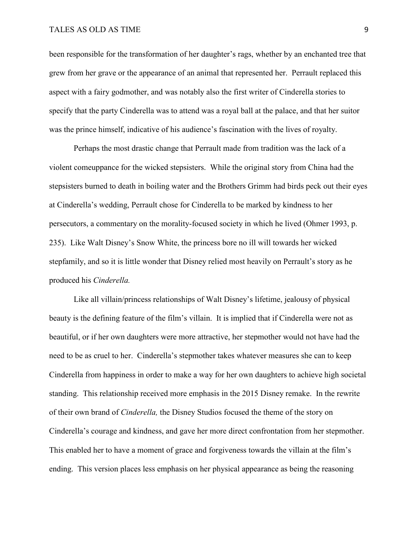#### TALES AS OLD AS TIME 9

been responsible for the transformation of her daughter's rags, whether by an enchanted tree that grew from her grave or the appearance of an animal that represented her. Perrault replaced this aspect with a fairy godmother, and was notably also the first writer of Cinderella stories to specify that the party Cinderella was to attend was a royal ball at the palace, and that her suitor was the prince himself, indicative of his audience's fascination with the lives of royalty.

Perhaps the most drastic change that Perrault made from tradition was the lack of a violent comeuppance for the wicked stepsisters. While the original story from China had the stepsisters burned to death in boiling water and the Brothers Grimm had birds peck out their eyes at Cinderella's wedding, Perrault chose for Cinderella to be marked by kindness to her persecutors, a commentary on the morality-focused society in which he lived (Ohmer 1993, p. 235). Like Walt Disney's Snow White, the princess bore no ill will towards her wicked stepfamily, and so it is little wonder that Disney relied most heavily on Perrault's story as he produced his *Cinderella.*

Like all villain/princess relationships of Walt Disney's lifetime, jealousy of physical beauty is the defining feature of the film's villain. It is implied that if Cinderella were not as beautiful, or if her own daughters were more attractive, her stepmother would not have had the need to be as cruel to her. Cinderella's stepmother takes whatever measures she can to keep Cinderella from happiness in order to make a way for her own daughters to achieve high societal standing. This relationship received more emphasis in the 2015 Disney remake. In the rewrite of their own brand of *Cinderella,* the Disney Studios focused the theme of the story on Cinderella's courage and kindness, and gave her more direct confrontation from her stepmother. This enabled her to have a moment of grace and forgiveness towards the villain at the film's ending. This version places less emphasis on her physical appearance as being the reasoning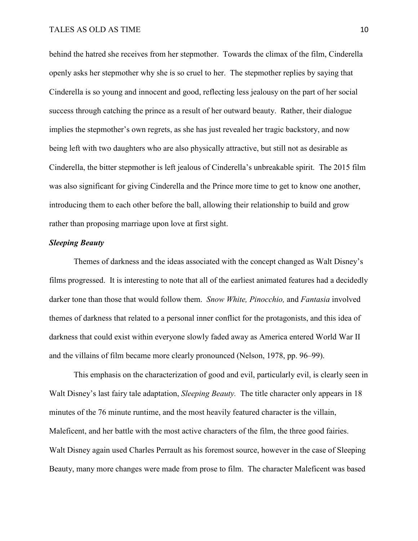behind the hatred she receives from her stepmother. Towards the climax of the film, Cinderella openly asks her stepmother why she is so cruel to her. The stepmother replies by saying that Cinderella is so young and innocent and good, reflecting less jealousy on the part of her social success through catching the prince as a result of her outward beauty. Rather, their dialogue implies the stepmother's own regrets, as she has just revealed her tragic backstory, and now being left with two daughters who are also physically attractive, but still not as desirable as Cinderella, the bitter stepmother is left jealous of Cinderella's unbreakable spirit. The 2015 film was also significant for giving Cinderella and the Prince more time to get to know one another, introducing them to each other before the ball, allowing their relationship to build and grow rather than proposing marriage upon love at first sight.

## *Sleeping Beauty*

Themes of darkness and the ideas associated with the concept changed as Walt Disney's films progressed. It is interesting to note that all of the earliest animated features had a decidedly darker tone than those that would follow them. *Snow White, Pinocchio,* and *Fantasia* involved themes of darkness that related to a personal inner conflict for the protagonists, and this idea of darkness that could exist within everyone slowly faded away as America entered World War II and the villains of film became more clearly pronounced (Nelson, 1978, pp. 96–99).

This emphasis on the characterization of good and evil, particularly evil, is clearly seen in Walt Disney's last fairy tale adaptation, *Sleeping Beauty.* The title character only appears in 18 minutes of the 76 minute runtime, and the most heavily featured character is the villain, Maleficent, and her battle with the most active characters of the film, the three good fairies. Walt Disney again used Charles Perrault as his foremost source, however in the case of Sleeping Beauty, many more changes were made from prose to film. The character Maleficent was based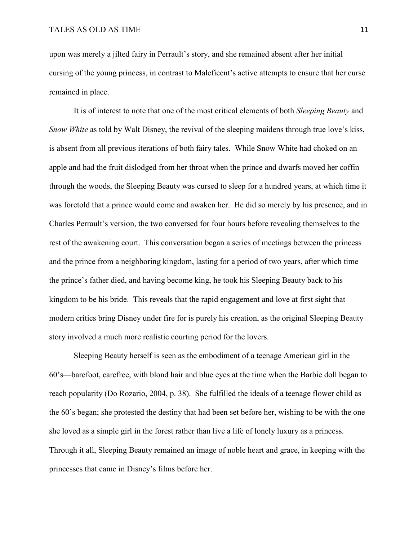upon was merely a jilted fairy in Perrault's story, and she remained absent after her initial cursing of the young princess, in contrast to Maleficent's active attempts to ensure that her curse remained in place.

It is of interest to note that one of the most critical elements of both *Sleeping Beauty* and *Snow White* as told by Walt Disney, the revival of the sleeping maidens through true love's kiss, is absent from all previous iterations of both fairy tales. While Snow White had choked on an apple and had the fruit dislodged from her throat when the prince and dwarfs moved her coffin through the woods, the Sleeping Beauty was cursed to sleep for a hundred years, at which time it was foretold that a prince would come and awaken her. He did so merely by his presence, and in Charles Perrault's version, the two conversed for four hours before revealing themselves to the rest of the awakening court. This conversation began a series of meetings between the princess and the prince from a neighboring kingdom, lasting for a period of two years, after which time the prince's father died, and having become king, he took his Sleeping Beauty back to his kingdom to be his bride. This reveals that the rapid engagement and love at first sight that modern critics bring Disney under fire for is purely his creation, as the original Sleeping Beauty story involved a much more realistic courting period for the lovers.

Sleeping Beauty herself is seen as the embodiment of a teenage American girl in the 60's—barefoot, carefree, with blond hair and blue eyes at the time when the Barbie doll began to reach popularity (Do Rozario, 2004, p. 38). She fulfilled the ideals of a teenage flower child as the 60's began; she protested the destiny that had been set before her, wishing to be with the one she loved as a simple girl in the forest rather than live a life of lonely luxury as a princess. Through it all, Sleeping Beauty remained an image of noble heart and grace, in keeping with the princesses that came in Disney's films before her.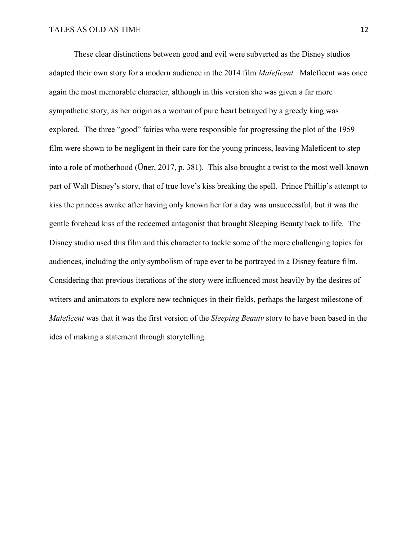These clear distinctions between good and evil were subverted as the Disney studios adapted their own story for a modern audience in the 2014 film *Maleficent.* Maleficent was once again the most memorable character, although in this version she was given a far more sympathetic story, as her origin as a woman of pure heart betrayed by a greedy king was explored. The three "good" fairies who were responsible for progressing the plot of the 1959 film were shown to be negligent in their care for the young princess, leaving Maleficent to step into a role of motherhood (Üner, 2017, p. 381). This also brought a twist to the most well-known part of Walt Disney's story, that of true love's kiss breaking the spell. Prince Phillip's attempt to kiss the princess awake after having only known her for a day was unsuccessful, but it was the gentle forehead kiss of the redeemed antagonist that brought Sleeping Beauty back to life. The Disney studio used this film and this character to tackle some of the more challenging topics for audiences, including the only symbolism of rape ever to be portrayed in a Disney feature film. Considering that previous iterations of the story were influenced most heavily by the desires of writers and animators to explore new techniques in their fields, perhaps the largest milestone of *Maleficent* was that it was the first version of the *Sleeping Beauty* story to have been based in the idea of making a statement through storytelling.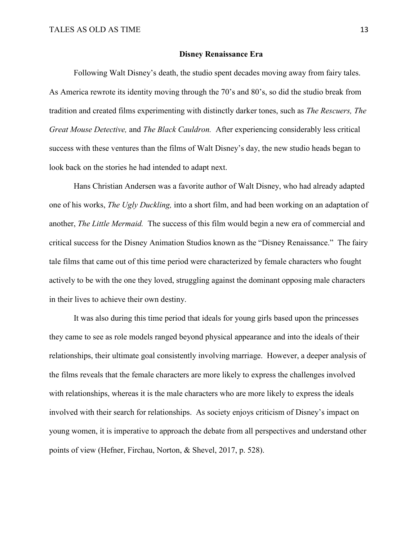#### **Disney Renaissance Era**

Following Walt Disney's death, the studio spent decades moving away from fairy tales. As America rewrote its identity moving through the 70's and 80's, so did the studio break from tradition and created films experimenting with distinctly darker tones, such as *The Rescuers, The Great Mouse Detective,* and *The Black Cauldron.* After experiencing considerably less critical success with these ventures than the films of Walt Disney's day, the new studio heads began to look back on the stories he had intended to adapt next.

Hans Christian Andersen was a favorite author of Walt Disney, who had already adapted one of his works, *The Ugly Duckling,* into a short film, and had been working on an adaptation of another, *The Little Mermaid.* The success of this film would begin a new era of commercial and critical success for the Disney Animation Studios known as the "Disney Renaissance." The fairy tale films that came out of this time period were characterized by female characters who fought actively to be with the one they loved, struggling against the dominant opposing male characters in their lives to achieve their own destiny.

It was also during this time period that ideals for young girls based upon the princesses they came to see as role models ranged beyond physical appearance and into the ideals of their relationships, their ultimate goal consistently involving marriage. However, a deeper analysis of the films reveals that the female characters are more likely to express the challenges involved with relationships, whereas it is the male characters who are more likely to express the ideals involved with their search for relationships. As society enjoys criticism of Disney's impact on young women, it is imperative to approach the debate from all perspectives and understand other points of view (Hefner, Firchau, Norton, & Shevel, 2017, p. 528).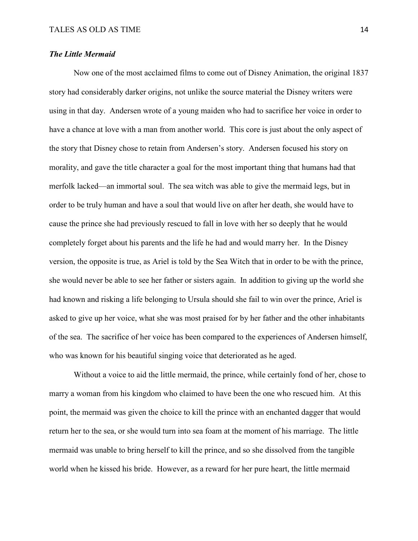#### *The Little Mermaid*

Now one of the most acclaimed films to come out of Disney Animation, the original 1837 story had considerably darker origins, not unlike the source material the Disney writers were using in that day. Andersen wrote of a young maiden who had to sacrifice her voice in order to have a chance at love with a man from another world. This core is just about the only aspect of the story that Disney chose to retain from Andersen's story. Andersen focused his story on morality, and gave the title character a goal for the most important thing that humans had that merfolk lacked—an immortal soul. The sea witch was able to give the mermaid legs, but in order to be truly human and have a soul that would live on after her death, she would have to cause the prince she had previously rescued to fall in love with her so deeply that he would completely forget about his parents and the life he had and would marry her. In the Disney version, the opposite is true, as Ariel is told by the Sea Witch that in order to be with the prince, she would never be able to see her father or sisters again. In addition to giving up the world she had known and risking a life belonging to Ursula should she fail to win over the prince, Ariel is asked to give up her voice, what she was most praised for by her father and the other inhabitants of the sea. The sacrifice of her voice has been compared to the experiences of Andersen himself, who was known for his beautiful singing voice that deteriorated as he aged.

Without a voice to aid the little mermaid, the prince, while certainly fond of her, chose to marry a woman from his kingdom who claimed to have been the one who rescued him. At this point, the mermaid was given the choice to kill the prince with an enchanted dagger that would return her to the sea, or she would turn into sea foam at the moment of his marriage. The little mermaid was unable to bring herself to kill the prince, and so she dissolved from the tangible world when he kissed his bride. However, as a reward for her pure heart, the little mermaid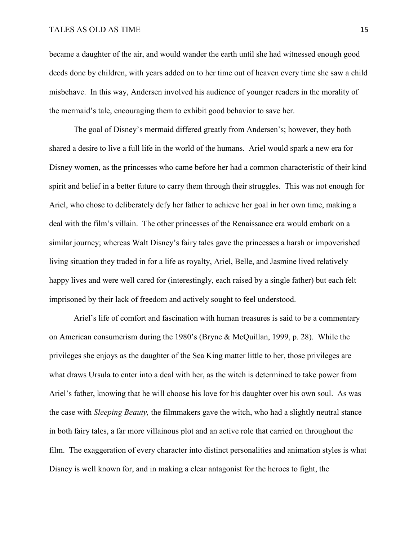## TALES AS OLD AS TIME 15

became a daughter of the air, and would wander the earth until she had witnessed enough good deeds done by children, with years added on to her time out of heaven every time she saw a child misbehave. In this way, Andersen involved his audience of younger readers in the morality of the mermaid's tale, encouraging them to exhibit good behavior to save her.

The goal of Disney's mermaid differed greatly from Andersen's; however, they both shared a desire to live a full life in the world of the humans. Ariel would spark a new era for Disney women, as the princesses who came before her had a common characteristic of their kind spirit and belief in a better future to carry them through their struggles. This was not enough for Ariel, who chose to deliberately defy her father to achieve her goal in her own time, making a deal with the film's villain. The other princesses of the Renaissance era would embark on a similar journey; whereas Walt Disney's fairy tales gave the princesses a harsh or impoverished living situation they traded in for a life as royalty, Ariel, Belle, and Jasmine lived relatively happy lives and were well cared for (interestingly, each raised by a single father) but each felt imprisoned by their lack of freedom and actively sought to feel understood.

Ariel's life of comfort and fascination with human treasures is said to be a commentary on American consumerism during the 1980's (Bryne & McQuillan, 1999, p. 28). While the privileges she enjoys as the daughter of the Sea King matter little to her, those privileges are what draws Ursula to enter into a deal with her, as the witch is determined to take power from Ariel's father, knowing that he will choose his love for his daughter over his own soul. As was the case with *Sleeping Beauty,* the filmmakers gave the witch, who had a slightly neutral stance in both fairy tales, a far more villainous plot and an active role that carried on throughout the film. The exaggeration of every character into distinct personalities and animation styles is what Disney is well known for, and in making a clear antagonist for the heroes to fight, the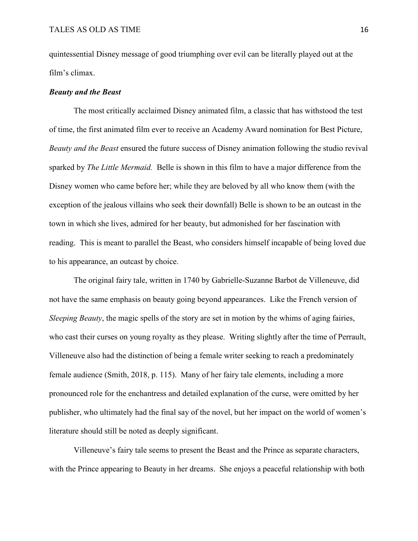quintessential Disney message of good triumphing over evil can be literally played out at the film's climax.

#### *Beauty and the Beast*

The most critically acclaimed Disney animated film, a classic that has withstood the test of time, the first animated film ever to receive an Academy Award nomination for Best Picture, *Beauty and the Beast* ensured the future success of Disney animation following the studio revival sparked by *The Little Mermaid.* Belle is shown in this film to have a major difference from the Disney women who came before her; while they are beloved by all who know them (with the exception of the jealous villains who seek their downfall) Belle is shown to be an outcast in the town in which she lives, admired for her beauty, but admonished for her fascination with reading. This is meant to parallel the Beast, who considers himself incapable of being loved due to his appearance, an outcast by choice.

The original fairy tale, written in 1740 by Gabrielle-Suzanne Barbot de Villeneuve, did not have the same emphasis on beauty going beyond appearances. Like the French version of *Sleeping Beauty*, the magic spells of the story are set in motion by the whims of aging fairies, who cast their curses on young royalty as they please. Writing slightly after the time of Perrault, Villeneuve also had the distinction of being a female writer seeking to reach a predominately female audience (Smith, 2018, p. 115). Many of her fairy tale elements, including a more pronounced role for the enchantress and detailed explanation of the curse, were omitted by her publisher, who ultimately had the final say of the novel, but her impact on the world of women's literature should still be noted as deeply significant.

Villeneuve's fairy tale seems to present the Beast and the Prince as separate characters, with the Prince appearing to Beauty in her dreams. She enjoys a peaceful relationship with both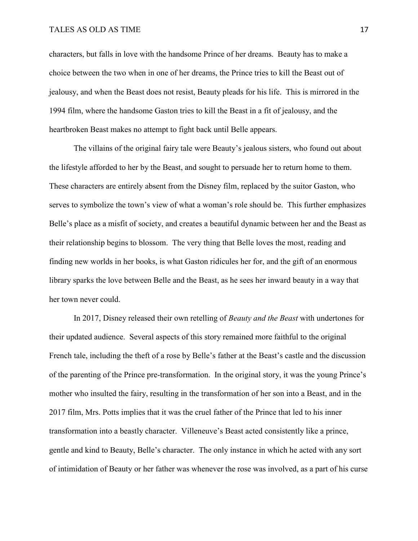## TALES AS OLD AS TIME 17

characters, but falls in love with the handsome Prince of her dreams. Beauty has to make a choice between the two when in one of her dreams, the Prince tries to kill the Beast out of jealousy, and when the Beast does not resist, Beauty pleads for his life. This is mirrored in the 1994 film, where the handsome Gaston tries to kill the Beast in a fit of jealousy, and the heartbroken Beast makes no attempt to fight back until Belle appears.

The villains of the original fairy tale were Beauty's jealous sisters, who found out about the lifestyle afforded to her by the Beast, and sought to persuade her to return home to them. These characters are entirely absent from the Disney film, replaced by the suitor Gaston, who serves to symbolize the town's view of what a woman's role should be. This further emphasizes Belle's place as a misfit of society, and creates a beautiful dynamic between her and the Beast as their relationship begins to blossom. The very thing that Belle loves the most, reading and finding new worlds in her books, is what Gaston ridicules her for, and the gift of an enormous library sparks the love between Belle and the Beast, as he sees her inward beauty in a way that her town never could.

In 2017, Disney released their own retelling of *Beauty and the Beast* with undertones for their updated audience. Several aspects of this story remained more faithful to the original French tale, including the theft of a rose by Belle's father at the Beast's castle and the discussion of the parenting of the Prince pre-transformation. In the original story, it was the young Prince's mother who insulted the fairy, resulting in the transformation of her son into a Beast, and in the 2017 film, Mrs. Potts implies that it was the cruel father of the Prince that led to his inner transformation into a beastly character. Villeneuve's Beast acted consistently like a prince, gentle and kind to Beauty, Belle's character. The only instance in which he acted with any sort of intimidation of Beauty or her father was whenever the rose was involved, as a part of his curse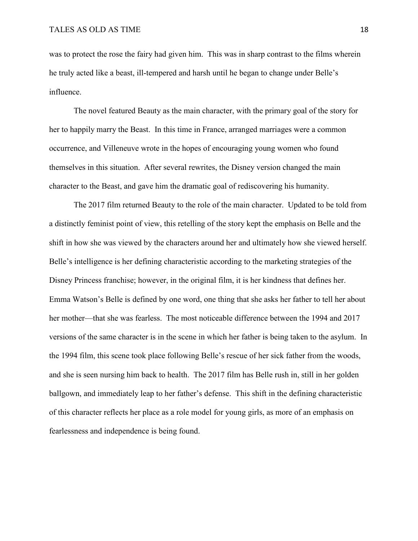was to protect the rose the fairy had given him. This was in sharp contrast to the films wherein he truly acted like a beast, ill-tempered and harsh until he began to change under Belle's influence.

The novel featured Beauty as the main character, with the primary goal of the story for her to happily marry the Beast. In this time in France, arranged marriages were a common occurrence, and Villeneuve wrote in the hopes of encouraging young women who found themselves in this situation. After several rewrites, the Disney version changed the main character to the Beast, and gave him the dramatic goal of rediscovering his humanity.

The 2017 film returned Beauty to the role of the main character. Updated to be told from a distinctly feminist point of view, this retelling of the story kept the emphasis on Belle and the shift in how she was viewed by the characters around her and ultimately how she viewed herself. Belle's intelligence is her defining characteristic according to the marketing strategies of the Disney Princess franchise; however, in the original film, it is her kindness that defines her. Emma Watson's Belle is defined by one word, one thing that she asks her father to tell her about her mother—that she was fearless. The most noticeable difference between the 1994 and 2017 versions of the same character is in the scene in which her father is being taken to the asylum. In the 1994 film, this scene took place following Belle's rescue of her sick father from the woods, and she is seen nursing him back to health. The 2017 film has Belle rush in, still in her golden ballgown, and immediately leap to her father's defense. This shift in the defining characteristic of this character reflects her place as a role model for young girls, as more of an emphasis on fearlessness and independence is being found.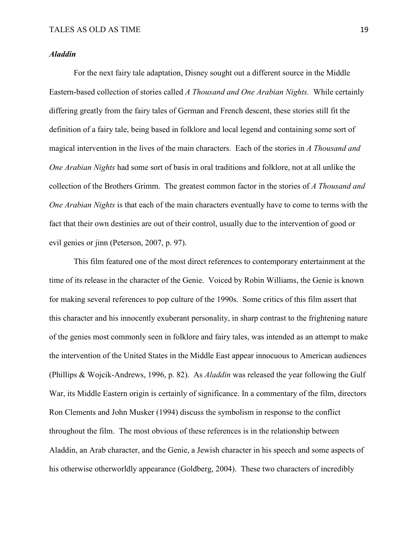#### *Aladdin*

For the next fairy tale adaptation, Disney sought out a different source in the Middle Eastern-based collection of stories called *A Thousand and One Arabian Nights.* While certainly differing greatly from the fairy tales of German and French descent, these stories still fit the definition of a fairy tale, being based in folklore and local legend and containing some sort of magical intervention in the lives of the main characters. Each of the stories in *A Thousand and One Arabian Nights* had some sort of basis in oral traditions and folklore, not at all unlike the collection of the Brothers Grimm. The greatest common factor in the stories of *A Thousand and One Arabian Nights* is that each of the main characters eventually have to come to terms with the fact that their own destinies are out of their control, usually due to the intervention of good or evil genies or jinn (Peterson, 2007, p. 97).

This film featured one of the most direct references to contemporary entertainment at the time of its release in the character of the Genie. Voiced by Robin Williams, the Genie is known for making several references to pop culture of the 1990s. Some critics of this film assert that this character and his innocently exuberant personality, in sharp contrast to the frightening nature of the genies most commonly seen in folklore and fairy tales, was intended as an attempt to make the intervention of the United States in the Middle East appear innocuous to American audiences (Phillips & Wojcik-Andrews, 1996, p. 82). As *Aladdin* was released the year following the Gulf War, its Middle Eastern origin is certainly of significance. In a commentary of the film, directors Ron Clements and John Musker (1994) discuss the symbolism in response to the conflict throughout the film. The most obvious of these references is in the relationship between Aladdin, an Arab character, and the Genie, a Jewish character in his speech and some aspects of his otherwise otherworldly appearance (Goldberg, 2004). These two characters of incredibly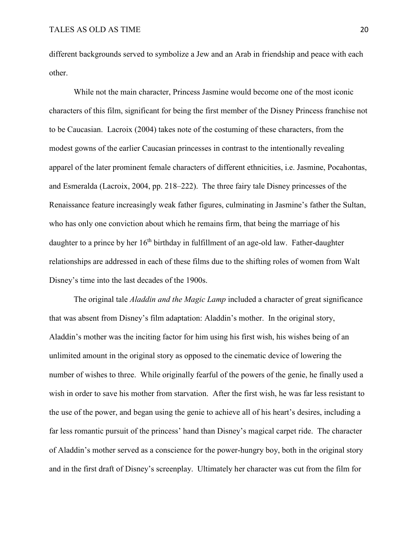different backgrounds served to symbolize a Jew and an Arab in friendship and peace with each other.

While not the main character, Princess Jasmine would become one of the most iconic characters of this film, significant for being the first member of the Disney Princess franchise not to be Caucasian. Lacroix (2004) takes note of the costuming of these characters, from the modest gowns of the earlier Caucasian princesses in contrast to the intentionally revealing apparel of the later prominent female characters of different ethnicities, i.e. Jasmine, Pocahontas, and Esmeralda (Lacroix, 2004, pp. 218–222). The three fairy tale Disney princesses of the Renaissance feature increasingly weak father figures, culminating in Jasmine's father the Sultan, who has only one conviction about which he remains firm, that being the marriage of his daughter to a prince by her 16<sup>th</sup> birthday in fulfillment of an age-old law. Father-daughter relationships are addressed in each of these films due to the shifting roles of women from Walt Disney's time into the last decades of the 1900s.

The original tale *Aladdin and the Magic Lamp* included a character of great significance that was absent from Disney's film adaptation: Aladdin's mother. In the original story, Aladdin's mother was the inciting factor for him using his first wish, his wishes being of an unlimited amount in the original story as opposed to the cinematic device of lowering the number of wishes to three. While originally fearful of the powers of the genie, he finally used a wish in order to save his mother from starvation. After the first wish, he was far less resistant to the use of the power, and began using the genie to achieve all of his heart's desires, including a far less romantic pursuit of the princess' hand than Disney's magical carpet ride. The character of Aladdin's mother served as a conscience for the power-hungry boy, both in the original story and in the first draft of Disney's screenplay. Ultimately her character was cut from the film for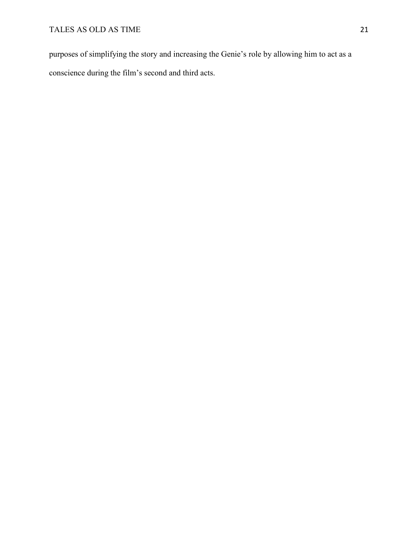purposes of simplifying the story and increasing the Genie's role by allowing him to act as a conscience during the film's second and third acts.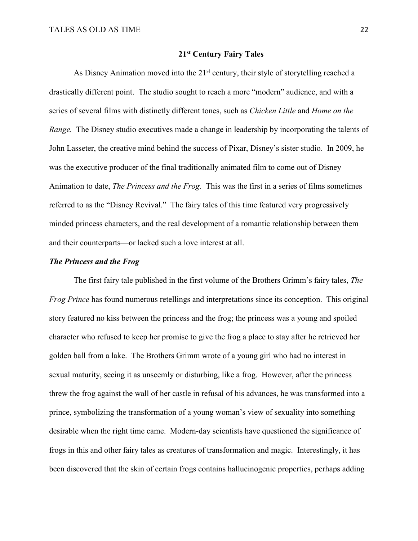#### **21st Century Fairy Tales**

As Disney Animation moved into the  $21<sup>st</sup>$  century, their style of storytelling reached a drastically different point. The studio sought to reach a more "modern" audience, and with a series of several films with distinctly different tones, such as *Chicken Little* and *Home on the Range.* The Disney studio executives made a change in leadership by incorporating the talents of John Lasseter, the creative mind behind the success of Pixar, Disney's sister studio. In 2009, he was the executive producer of the final traditionally animated film to come out of Disney Animation to date, *The Princess and the Frog.* This was the first in a series of films sometimes referred to as the "Disney Revival." The fairy tales of this time featured very progressively minded princess characters, and the real development of a romantic relationship between them and their counterparts—or lacked such a love interest at all.

#### *The Princess and the Frog*

The first fairy tale published in the first volume of the Brothers Grimm's fairy tales, *The Frog Prince* has found numerous retellings and interpretations since its conception. This original story featured no kiss between the princess and the frog; the princess was a young and spoiled character who refused to keep her promise to give the frog a place to stay after he retrieved her golden ball from a lake. The Brothers Grimm wrote of a young girl who had no interest in sexual maturity, seeing it as unseemly or disturbing, like a frog. However, after the princess threw the frog against the wall of her castle in refusal of his advances, he was transformed into a prince, symbolizing the transformation of a young woman's view of sexuality into something desirable when the right time came. Modern-day scientists have questioned the significance of frogs in this and other fairy tales as creatures of transformation and magic. Interestingly, it has been discovered that the skin of certain frogs contains hallucinogenic properties, perhaps adding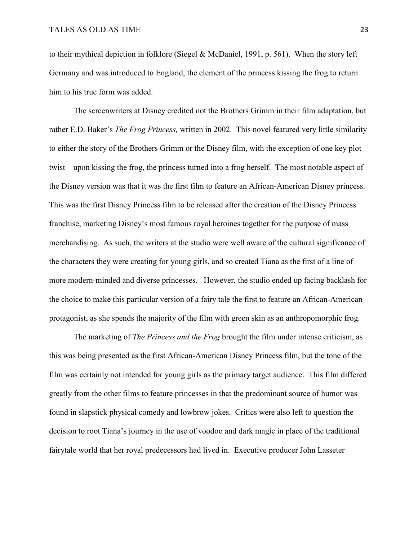to their mythical depiction in folklore (Siegel & McDaniel, 1991, p. 561). When the story left Germany and was introduced to England, the element of the princess kissing the frog to return him to his true form was added.

The screenwriters at Disney credited not the Brothers Grimm in their film adaptation, but rather E.D. Baker's *The Frog Princess,* written in 2002. This novel featured very little similarity to either the story of the Brothers Grimm or the Disney film, with the exception of one key plot twist—upon kissing the frog, the princess turned into a frog herself. The most notable aspect of the Disney version was that it was the first film to feature an African-American Disney princess. This was the first Disney Princess film to be released after the creation of the Disney Princess franchise, marketing Disney's most famous royal heroines together for the purpose of mass merchandising. As such, the writers at the studio were well aware of the cultural significance of the characters they were creating for young girls, and so created Tiana as the first of a line of more modern-minded and diverse princesses. However, the studio ended up facing backlash for the choice to make this particular version of a fairy tale the first to feature an African-American protagonist, as she spends the majority of the film with green skin as an anthropomorphic frog.

The marketing of *The Princess and the Frog* brought the film under intense criticism, as this was being presented as the first African-American Disney Princess film, but the tone of the film was certainly not intended for young girls as the primary target audience. This film differed greatly from the other films to feature princesses in that the predominant source of humor was found in slapstick physical comedy and lowbrow jokes. Critics were also left to question the decision to root Tiana's journey in the use of voodoo and dark magic in place of the traditional fairytale world that her royal predecessors had lived in. Executive producer John Lasseter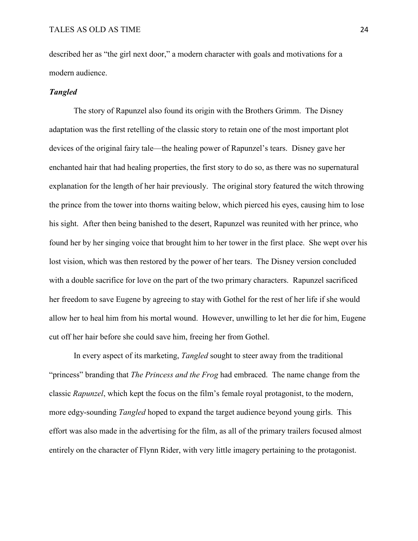described her as "the girl next door," a modern character with goals and motivations for a modern audience.

## *Tangled*

The story of Rapunzel also found its origin with the Brothers Grimm. The Disney adaptation was the first retelling of the classic story to retain one of the most important plot devices of the original fairy tale—the healing power of Rapunzel's tears. Disney gave her enchanted hair that had healing properties, the first story to do so, as there was no supernatural explanation for the length of her hair previously. The original story featured the witch throwing the prince from the tower into thorns waiting below, which pierced his eyes, causing him to lose his sight. After then being banished to the desert, Rapunzel was reunited with her prince, who found her by her singing voice that brought him to her tower in the first place. She wept over his lost vision, which was then restored by the power of her tears. The Disney version concluded with a double sacrifice for love on the part of the two primary characters. Rapunzel sacrificed her freedom to save Eugene by agreeing to stay with Gothel for the rest of her life if she would allow her to heal him from his mortal wound. However, unwilling to let her die for him, Eugene cut off her hair before she could save him, freeing her from Gothel.

In every aspect of its marketing, *Tangled* sought to steer away from the traditional "princess" branding that *The Princess and the Frog* had embraced. The name change from the classic *Rapunzel*, which kept the focus on the film's female royal protagonist, to the modern, more edgy-sounding *Tangled* hoped to expand the target audience beyond young girls. This effort was also made in the advertising for the film, as all of the primary trailers focused almost entirely on the character of Flynn Rider, with very little imagery pertaining to the protagonist.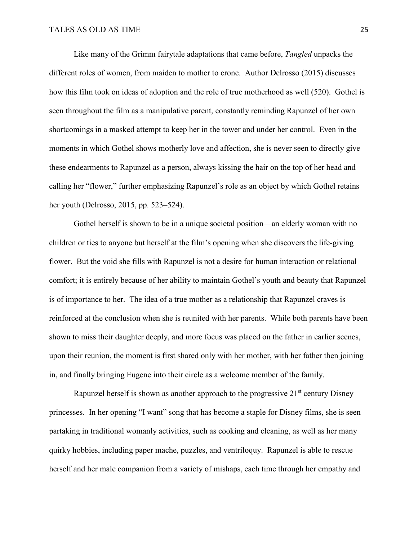Like many of the Grimm fairytale adaptations that came before, *Tangled* unpacks the different roles of women, from maiden to mother to crone. Author Delrosso (2015) discusses how this film took on ideas of adoption and the role of true motherhood as well (520). Gothel is seen throughout the film as a manipulative parent, constantly reminding Rapunzel of her own shortcomings in a masked attempt to keep her in the tower and under her control. Even in the moments in which Gothel shows motherly love and affection, she is never seen to directly give these endearments to Rapunzel as a person, always kissing the hair on the top of her head and calling her "flower," further emphasizing Rapunzel's role as an object by which Gothel retains her youth (Delrosso, 2015, pp. 523–524).

Gothel herself is shown to be in a unique societal position—an elderly woman with no children or ties to anyone but herself at the film's opening when she discovers the life-giving flower. But the void she fills with Rapunzel is not a desire for human interaction or relational comfort; it is entirely because of her ability to maintain Gothel's youth and beauty that Rapunzel is of importance to her. The idea of a true mother as a relationship that Rapunzel craves is reinforced at the conclusion when she is reunited with her parents. While both parents have been shown to miss their daughter deeply, and more focus was placed on the father in earlier scenes, upon their reunion, the moment is first shared only with her mother, with her father then joining in, and finally bringing Eugene into their circle as a welcome member of the family.

Rapunzel herself is shown as another approach to the progressive  $21<sup>st</sup>$  century Disney princesses. In her opening "I want" song that has become a staple for Disney films, she is seen partaking in traditional womanly activities, such as cooking and cleaning, as well as her many quirky hobbies, including paper mache, puzzles, and ventriloquy. Rapunzel is able to rescue herself and her male companion from a variety of mishaps, each time through her empathy and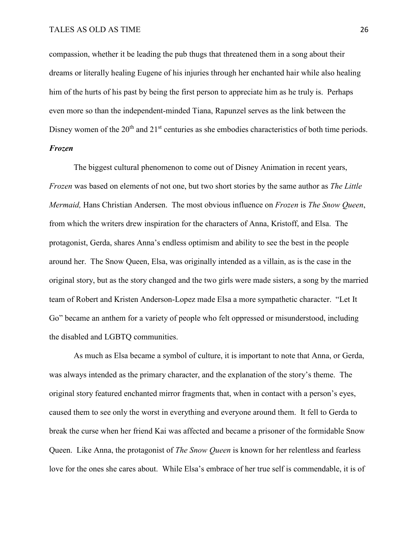## TALES AS OLD AS TIME 26

compassion, whether it be leading the pub thugs that threatened them in a song about their dreams or literally healing Eugene of his injuries through her enchanted hair while also healing him of the hurts of his past by being the first person to appreciate him as he truly is. Perhaps even more so than the independent-minded Tiana, Rapunzel serves as the link between the Disney women of the  $20<sup>th</sup>$  and  $21<sup>st</sup>$  centuries as she embodies characteristics of both time periods. *Frozen*

The biggest cultural phenomenon to come out of Disney Animation in recent years, *Frozen* was based on elements of not one, but two short stories by the same author as *The Little Mermaid,* Hans Christian Andersen. The most obvious influence on *Frozen* is *The Snow Queen*, from which the writers drew inspiration for the characters of Anna, Kristoff, and Elsa. The protagonist, Gerda, shares Anna's endless optimism and ability to see the best in the people around her. The Snow Queen, Elsa, was originally intended as a villain, as is the case in the original story, but as the story changed and the two girls were made sisters, a song by the married team of Robert and Kristen Anderson-Lopez made Elsa a more sympathetic character. "Let It Go" became an anthem for a variety of people who felt oppressed or misunderstood, including the disabled and LGBTQ communities.

As much as Elsa became a symbol of culture, it is important to note that Anna, or Gerda, was always intended as the primary character, and the explanation of the story's theme. The original story featured enchanted mirror fragments that, when in contact with a person's eyes, caused them to see only the worst in everything and everyone around them. It fell to Gerda to break the curse when her friend Kai was affected and became a prisoner of the formidable Snow Queen. Like Anna, the protagonist of *The Snow Queen* is known for her relentless and fearless love for the ones she cares about. While Elsa's embrace of her true self is commendable, it is of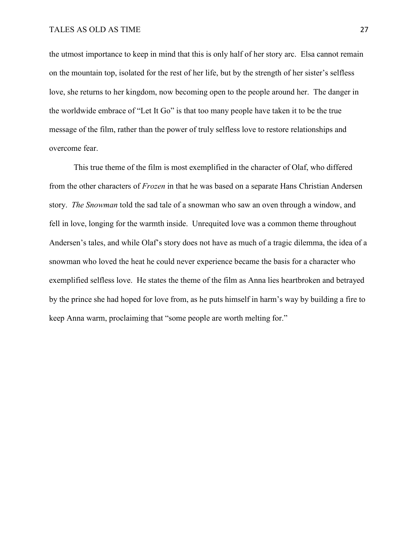the utmost importance to keep in mind that this is only half of her story arc. Elsa cannot remain on the mountain top, isolated for the rest of her life, but by the strength of her sister's selfless love, she returns to her kingdom, now becoming open to the people around her. The danger in the worldwide embrace of "Let It Go" is that too many people have taken it to be the true message of the film, rather than the power of truly selfless love to restore relationships and overcome fear.

This true theme of the film is most exemplified in the character of Olaf, who differed from the other characters of *Frozen* in that he was based on a separate Hans Christian Andersen story. *The Snowman* told the sad tale of a snowman who saw an oven through a window, and fell in love, longing for the warmth inside. Unrequited love was a common theme throughout Andersen's tales, and while Olaf's story does not have as much of a tragic dilemma, the idea of a snowman who loved the heat he could never experience became the basis for a character who exemplified selfless love. He states the theme of the film as Anna lies heartbroken and betrayed by the prince she had hoped for love from, as he puts himself in harm's way by building a fire to keep Anna warm, proclaiming that "some people are worth melting for."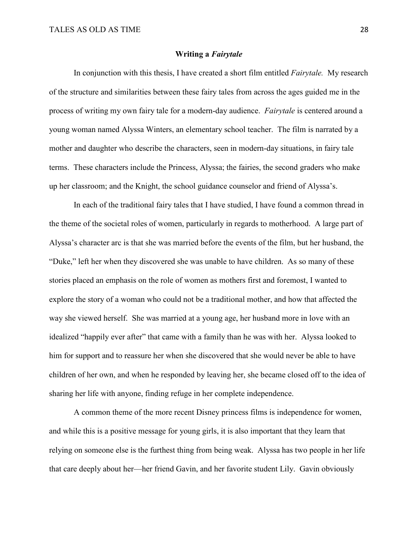#### **Writing a** *Fairytale*

In conjunction with this thesis, I have created a short film entitled *Fairytale.* My research of the structure and similarities between these fairy tales from across the ages guided me in the process of writing my own fairy tale for a modern-day audience. *Fairytale* is centered around a young woman named Alyssa Winters, an elementary school teacher. The film is narrated by a mother and daughter who describe the characters, seen in modern-day situations, in fairy tale terms. These characters include the Princess, Alyssa; the fairies, the second graders who make up her classroom; and the Knight, the school guidance counselor and friend of Alyssa's.

In each of the traditional fairy tales that I have studied, I have found a common thread in the theme of the societal roles of women, particularly in regards to motherhood. A large part of Alyssa's character arc is that she was married before the events of the film, but her husband, the "Duke," left her when they discovered she was unable to have children. As so many of these stories placed an emphasis on the role of women as mothers first and foremost, I wanted to explore the story of a woman who could not be a traditional mother, and how that affected the way she viewed herself. She was married at a young age, her husband more in love with an idealized "happily ever after" that came with a family than he was with her. Alyssa looked to him for support and to reassure her when she discovered that she would never be able to have children of her own, and when he responded by leaving her, she became closed off to the idea of sharing her life with anyone, finding refuge in her complete independence.

A common theme of the more recent Disney princess films is independence for women, and while this is a positive message for young girls, it is also important that they learn that relying on someone else is the furthest thing from being weak. Alyssa has two people in her life that care deeply about her—her friend Gavin, and her favorite student Lily. Gavin obviously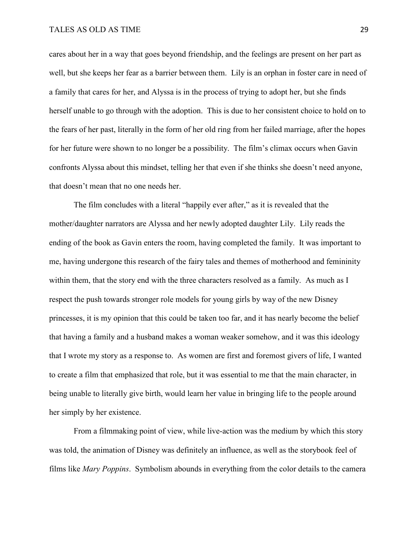# TALES AS OLD AS TIME 29

cares about her in a way that goes beyond friendship, and the feelings are present on her part as well, but she keeps her fear as a barrier between them. Lily is an orphan in foster care in need of a family that cares for her, and Alyssa is in the process of trying to adopt her, but she finds herself unable to go through with the adoption. This is due to her consistent choice to hold on to the fears of her past, literally in the form of her old ring from her failed marriage, after the hopes for her future were shown to no longer be a possibility. The film's climax occurs when Gavin confronts Alyssa about this mindset, telling her that even if she thinks she doesn't need anyone, that doesn't mean that no one needs her.

The film concludes with a literal "happily ever after," as it is revealed that the mother/daughter narrators are Alyssa and her newly adopted daughter Lily. Lily reads the ending of the book as Gavin enters the room, having completed the family. It was important to me, having undergone this research of the fairy tales and themes of motherhood and femininity within them, that the story end with the three characters resolved as a family. As much as I respect the push towards stronger role models for young girls by way of the new Disney princesses, it is my opinion that this could be taken too far, and it has nearly become the belief that having a family and a husband makes a woman weaker somehow, and it was this ideology that I wrote my story as a response to. As women are first and foremost givers of life, I wanted to create a film that emphasized that role, but it was essential to me that the main character, in being unable to literally give birth, would learn her value in bringing life to the people around her simply by her existence.

From a filmmaking point of view, while live-action was the medium by which this story was told, the animation of Disney was definitely an influence, as well as the storybook feel of films like *Mary Poppins*. Symbolism abounds in everything from the color details to the camera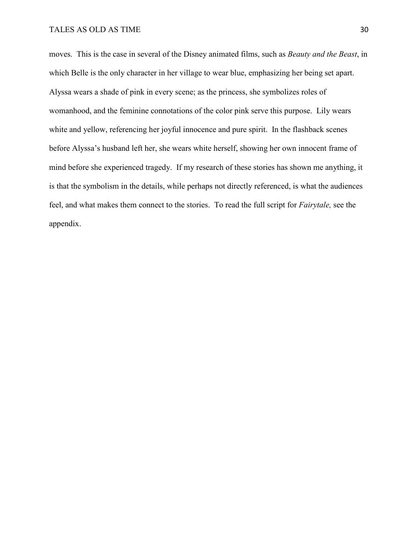# TALES AS OLD AS TIME 30

moves. This is the case in several of the Disney animated films, such as *Beauty and the Beast*, in which Belle is the only character in her village to wear blue, emphasizing her being set apart. Alyssa wears a shade of pink in every scene; as the princess, she symbolizes roles of womanhood, and the feminine connotations of the color pink serve this purpose. Lily wears white and yellow, referencing her joyful innocence and pure spirit. In the flashback scenes before Alyssa's husband left her, she wears white herself, showing her own innocent frame of mind before she experienced tragedy. If my research of these stories has shown me anything, it is that the symbolism in the details, while perhaps not directly referenced, is what the audiences feel, and what makes them connect to the stories. To read the full script for *Fairytale,* see the appendix.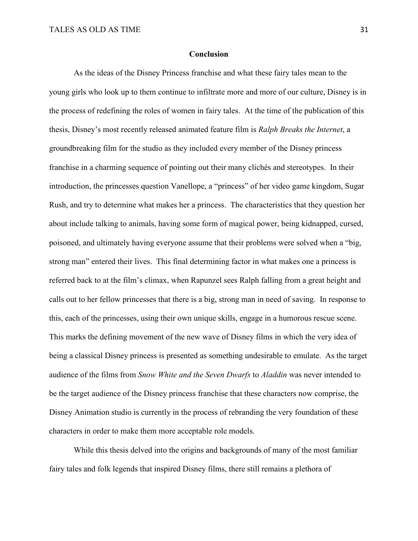#### **Conclusion**

As the ideas of the Disney Princess franchise and what these fairy tales mean to the young girls who look up to them continue to infiltrate more and more of our culture, Disney is in the process of redefining the roles of women in fairy tales. At the time of the publication of this thesis, Disney's most recently released animated feature film is *Ralph Breaks the Internet*, a groundbreaking film for the studio as they included every member of the Disney princess franchise in a charming sequence of pointing out their many clichés and stereotypes. In their introduction, the princesses question Vanellope, a "princess" of her video game kingdom, Sugar Rush, and try to determine what makes her a princess. The characteristics that they question her about include talking to animals, having some form of magical power, being kidnapped, cursed, poisoned, and ultimately having everyone assume that their problems were solved when a "big, strong man" entered their lives. This final determining factor in what makes one a princess is referred back to at the film's climax, when Rapunzel sees Ralph falling from a great height and calls out to her fellow princesses that there is a big, strong man in need of saving. In response to this, each of the princesses, using their own unique skills, engage in a humorous rescue scene. This marks the defining movement of the new wave of Disney films in which the very idea of being a classical Disney princess is presented as something undesirable to emulate. As the target audience of the films from *Snow White and the Seven Dwarfs* to *Aladdin* was never intended to be the target audience of the Disney princess franchise that these characters now comprise, the Disney Animation studio is currently in the process of rebranding the very foundation of these characters in order to make them more acceptable role models.

While this thesis delved into the origins and backgrounds of many of the most familiar fairy tales and folk legends that inspired Disney films, there still remains a plethora of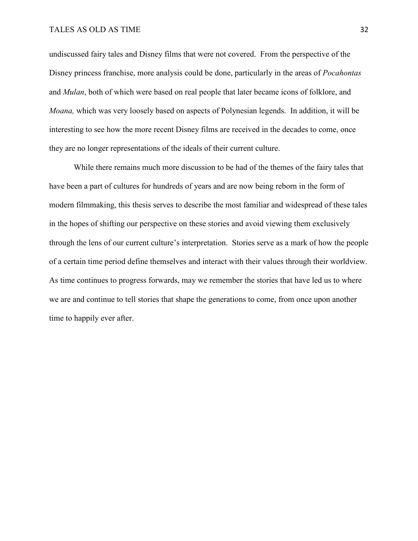## TALES AS OLD AS TIME 32

undiscussed fairy tales and Disney films that were not covered. From the perspective of the Disney princess franchise, more analysis could be done, particularly in the areas of *Pocahontas* and *Mulan*, both of which were based on real people that later became icons of folklore, and *Moana,* which was very loosely based on aspects of Polynesian legends. In addition, it will be interesting to see how the more recent Disney films are received in the decades to come, once they are no longer representations of the ideals of their current culture.

While there remains much more discussion to be had of the themes of the fairy tales that have been a part of cultures for hundreds of years and are now being reborn in the form of modern filmmaking, this thesis serves to describe the most familiar and widespread of these tales in the hopes of shifting our perspective on these stories and avoid viewing them exclusively through the lens of our current culture's interpretation. Stories serve as a mark of how the people of a certain time period define themselves and interact with their values through their worldview. As time continues to progress forwards, may we remember the stories that have led us to where we are and continue to tell stories that shape the generations to come, from once upon another time to happily ever after.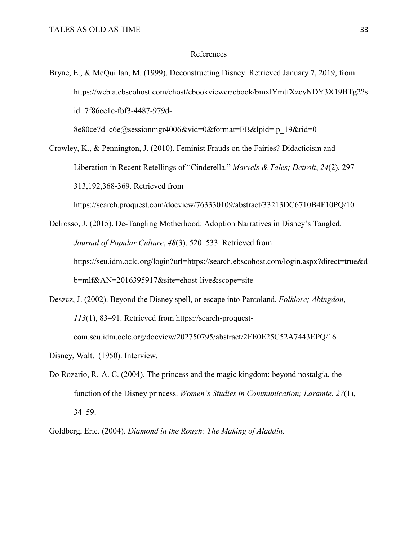#### References

Bryne, E., & McQuillan, M. (1999). Deconstructing Disney. Retrieved January 7, 2019, from https://web.a.ebscohost.com/ehost/ebookviewer/ebook/bmxlYmtfXzcyNDY3X19BTg2?s id=7f86ee1e-fbf3-4487-979d-

8e80ce7d1c6e@sessionmgr4006&vid=0&format=EB&lpid=lp\_19&rid=0

Crowley, K., & Pennington, J. (2010). Feminist Frauds on the Fairies? Didacticism and Liberation in Recent Retellings of "Cinderella." *Marvels & Tales; Detroit*, *24*(2), 297- 313,192,368-369. Retrieved from

https://search.proquest.com/docview/763330109/abstract/33213DC6710B4F10PQ/10

- Delrosso, J. (2015). De-Tangling Motherhood: Adoption Narratives in Disney's Tangled. *Journal of Popular Culture*, *48*(3), 520–533. Retrieved from https://seu.idm.oclc.org/login?url=https://search.ebscohost.com/login.aspx?direct=true&d b=mlf&AN=2016395917&site=ehost-live&scope=site
- Deszcz, J. (2002). Beyond the Disney spell, or escape into Pantoland. *Folklore; Abingdon*, *113*(1), 83–91. Retrieved from https://search-proquest-

com.seu.idm.oclc.org/docview/202750795/abstract/2FE0E25C52A7443EPQ/16

- Disney, Walt. (1950). Interview.
- Do Rozario, R.-A. C. (2004). The princess and the magic kingdom: beyond nostalgia, the function of the Disney princess. *Women's Studies in Communication; Laramie*, *27*(1), 34–59.

Goldberg, Eric. (2004). *Diamond in the Rough: The Making of Aladdin.*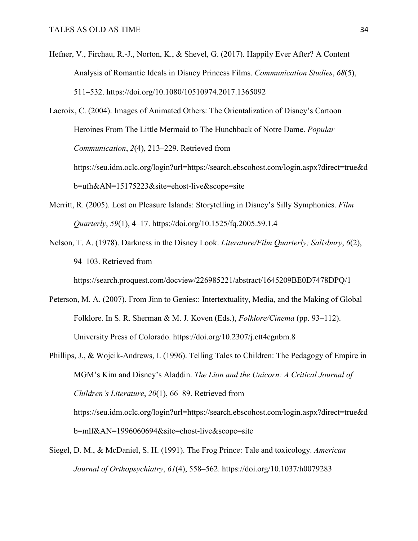- Hefner, V., Firchau, R.-J., Norton, K., & Shevel, G. (2017). Happily Ever After? A Content Analysis of Romantic Ideals in Disney Princess Films. *Communication Studies*, *68*(5), 511–532. https://doi.org/10.1080/10510974.2017.1365092
- Lacroix, C. (2004). Images of Animated Others: The Orientalization of Disney's Cartoon Heroines From The Little Mermaid to The Hunchback of Notre Dame. *Popular Communication*, *2*(4), 213–229. Retrieved from https://seu.idm.oclc.org/login?url=https://search.ebscohost.com/login.aspx?direct=true&d b=ufh&AN=15175223&site=ehost-live&scope=site
- Merritt, R. (2005). Lost on Pleasure Islands: Storytelling in Disney's Silly Symphonies. *Film Quarterly*, *59*(1), 4–17. https://doi.org/10.1525/fq.2005.59.1.4
- Nelson, T. A. (1978). Darkness in the Disney Look. *Literature/Film Quarterly; Salisbury*, *6*(2), 94–103. Retrieved from

https://search.proquest.com/docview/226985221/abstract/1645209BE0D7478DPQ/1

- Peterson, M. A. (2007). From Jinn to Genies:: Intertextuality, Media, and the Making of Global Folklore. In S. R. Sherman & M. J. Koven (Eds.), *Folklore/Cinema* (pp. 93–112). University Press of Colorado. https://doi.org/10.2307/j.ctt4cgnbm.8
- Phillips, J., & Wojcik-Andrews, I. (1996). Telling Tales to Children: The Pedagogy of Empire in MGM's Kim and Disney's Aladdin. *The Lion and the Unicorn: A Critical Journal of Children's Literature*, *20*(1), 66–89. Retrieved from https://seu.idm.oclc.org/login?url=https://search.ebscohost.com/login.aspx?direct=true&d b=mlf&AN=1996060694&site=ehost-live&scope=site
- Siegel, D. M., & McDaniel, S. H. (1991). The Frog Prince: Tale and toxicology. *American Journal of Orthopsychiatry*, *61*(4), 558–562. https://doi.org/10.1037/h0079283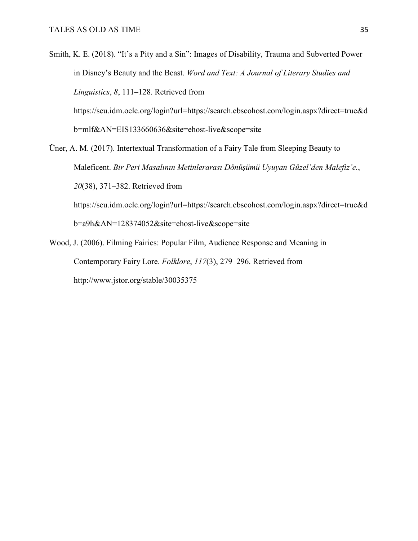Smith, K. E. (2018). "It's a Pity and a Sin": Images of Disability, Trauma and Subverted Power in Disney's Beauty and the Beast. *Word and Text: A Journal of Literary Studies and Linguistics*, *8*, 111–128. Retrieved from

https://seu.idm.oclc.org/login?url=https://search.ebscohost.com/login.aspx?direct=true&d b=mlf&AN=EIS133660636&site=ehost-live&scope=site

- Üner, A. M. (2017). Intertextual Transformation of a Fairy Tale from Sleeping Beauty to Maleficent. *Bir Peri Masalının Metinlerarası Dönüşümü Uyuyan Güzel'den Malefiz'e.*, *20*(38), 371–382. Retrieved from https://seu.idm.oclc.org/login?url=https://search.ebscohost.com/login.aspx?direct=true&d b=a9h&AN=128374052&site=ehost-live&scope=site
- Wood, J. (2006). Filming Fairies: Popular Film, Audience Response and Meaning in Contemporary Fairy Lore. *Folklore*, *117*(3), 279–296. Retrieved from http://www.jstor.org/stable/30035375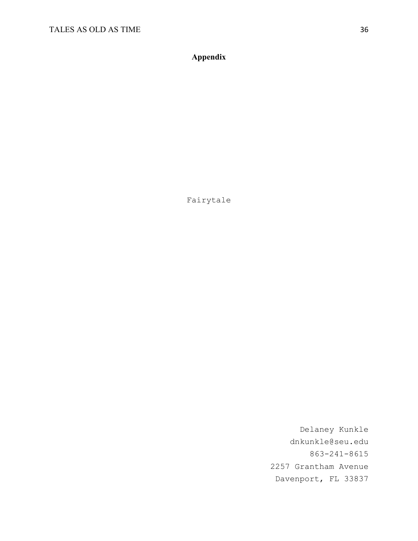**Appendix**

Fairytale

Delaney Kunkle dnkunkle@seu.edu 863-241-8615 2257 Grantham Avenue Davenport, FL 33837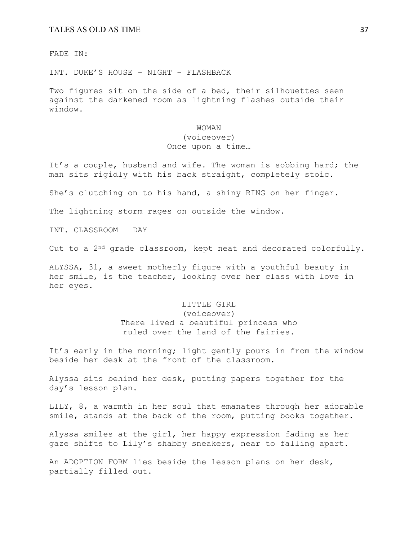#### TALES AS OLD AS TIME 37

FADE IN:

INT. DUKE'S HOUSE – NIGHT – FLASHBACK

Two figures sit on the side of a bed, their silhouettes seen against the darkened room as lightning flashes outside their window.

#### WOMAN

# (voiceover)

## Once upon a time…

It's a couple, husband and wife. The woman is sobbing hard; the man sits rigidly with his back straight, completely stoic.

She's clutching on to his hand, a shiny RING on her finger.

The lightning storm rages on outside the window.

INT. CLASSROOM – DAY

Cut to a 2nd grade classroom, kept neat and decorated colorfully.

ALYSSA, 31, a sweet motherly figure with a youthful beauty in her smile, is the teacher, looking over her class with love in her eyes.

# LITTLE GIRL

(voiceover) There lived a beautiful princess who ruled over the land of the fairies.

It's early in the morning; light gently pours in from the window beside her desk at the front of the classroom.

Alyssa sits behind her desk, putting papers together for the day's lesson plan.

LILY, 8, a warmth in her soul that emanates through her adorable smile, stands at the back of the room, putting books together.

Alyssa smiles at the girl, her happy expression fading as her gaze shifts to Lily's shabby sneakers, near to falling apart.

An ADOPTION FORM lies beside the lesson plans on her desk, partially filled out.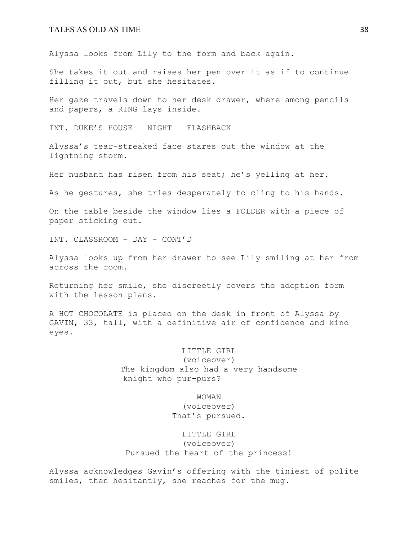#### TALES AS OLD AS TIME 38

Alyssa looks from Lily to the form and back again.

She takes it out and raises her pen over it as if to continue filling it out, but she hesitates.

Her gaze travels down to her desk drawer, where among pencils and papers, a RING lays inside.

INT. DUKE'S HOUSE – NIGHT – FLASHBACK

Alyssa's tear-streaked face stares out the window at the lightning storm.

Her husband has risen from his seat; he's yelling at her.

As he gestures, she tries desperately to cling to his hands.

On the table beside the window lies a FOLDER with a piece of paper sticking out.

INT. CLASSROOM – DAY – CONT'D

Alyssa looks up from her drawer to see Lily smiling at her from across the room.

Returning her smile, she discreetly covers the adoption form with the lesson plans.

A HOT CHOCOLATE is placed on the desk in front of Alyssa by GAVIN, 33, tall, with a definitive air of confidence and kind eyes.

> LITTLE GIRL (voiceover) The kingdom also had a very handsome knight who pur-purs?

> > WOMAN (voiceover) That's pursued.

LITTLE GIRL (voiceover) Pursued the heart of the princess!

Alyssa acknowledges Gavin's offering with the tiniest of polite smiles, then hesitantly, she reaches for the mug.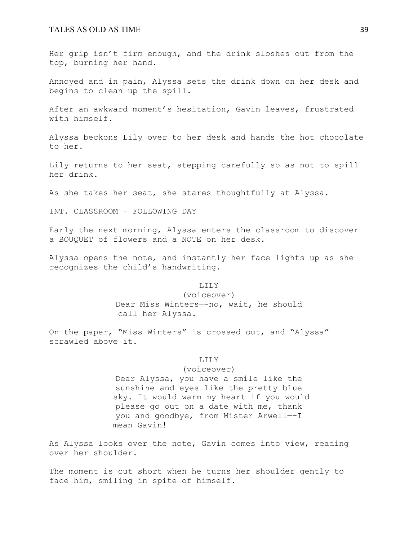Her grip isn't firm enough, and the drink sloshes out from the top, burning her hand.

Annoyed and in pain, Alyssa sets the drink down on her desk and begins to clean up the spill.

After an awkward moment's hesitation, Gavin leaves, frustrated with himself.

Alyssa beckons Lily over to her desk and hands the hot chocolate to her.

Lily returns to her seat, stepping carefully so as not to spill her drink.

As she takes her seat, she stares thoughtfully at Alyssa.

INT. CLASSROOM – FOLLOWING DAY

Early the next morning, Alyssa enters the classroom to discover a BOUQUET of flowers and a NOTE on her desk.

Alyssa opens the note, and instantly her face lights up as she recognizes the child's handwriting.

LILY

(voiceover) Dear Miss Winters—-no, wait, he should call her Alyssa.

On the paper, "Miss Winters" is crossed out, and "Alyssa" scrawled above it.

#### LILY

(voiceover)

Dear Alyssa, you have a smile like the sunshine and eyes like the pretty blue sky. It would warm my heart if you would please go out on a date with me, thank you and goodbye, from Mister Arwell—-I mean Gavin!

As Alyssa looks over the note, Gavin comes into view, reading over her shoulder.

The moment is cut short when he turns her shoulder gently to face him, smiling in spite of himself.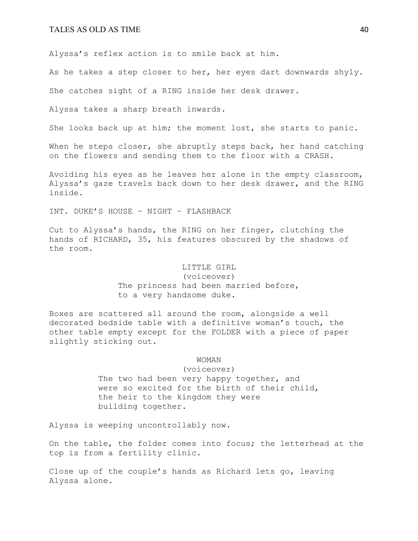Alyssa's reflex action is to smile back at him.

As he takes a step closer to her, her eyes dart downwards shyly.

She catches sight of a RING inside her desk drawer.

Alyssa takes a sharp breath inwards.

She looks back up at him; the moment lost, she starts to panic.

When he steps closer, she abruptly steps back, her hand catching on the flowers and sending them to the floor with a CRASH.

Avoiding his eyes as he leaves her alone in the empty classroom, Alyssa's gaze travels back down to her desk drawer, and the RING inside.

INT. DUKE'S HOUSE – NIGHT – FLASHBACK

Cut to Alyssa's hands, the RING on her finger, clutching the hands of RICHARD, 35, his features obscured by the shadows of the room.

#### LITTLE GIRL

(voiceover) The princess had been married before, to a very handsome duke.

Boxes are scattered all around the room, alongside a well decorated bedside table with a definitive woman's touch, the other table empty except for the FOLDER with a piece of paper slightly sticking out.

#### WOMAN

(voiceover) The two had been very happy together, and were so excited for the birth of their child, the heir to the kingdom they were building together.

Alyssa is weeping uncontrollably now.

On the table, the folder comes into focus; the letterhead at the top is from a fertility clinic.

Close up of the couple's hands as Richard lets go, leaving Alyssa alone.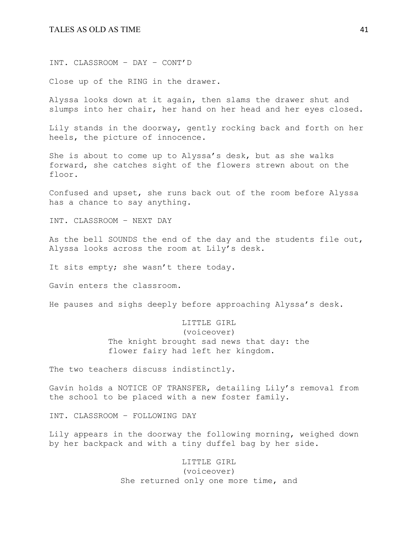INT. CLASSROOM – DAY – CONT'D

Close up of the RING in the drawer.

Alyssa looks down at it again, then slams the drawer shut and slumps into her chair, her hand on her head and her eyes closed.

Lily stands in the doorway, gently rocking back and forth on her heels, the picture of innocence.

She is about to come up to Alyssa's desk, but as she walks forward, she catches sight of the flowers strewn about on the floor.

Confused and upset, she runs back out of the room before Alyssa has a chance to say anything.

INT. CLASSROOM – NEXT DAY

As the bell SOUNDS the end of the day and the students file out, Alyssa looks across the room at Lily's desk.

It sits empty; she wasn't there today.

Gavin enters the classroom.

He pauses and sighs deeply before approaching Alyssa's desk.

# LITTLE GIRL (voiceover) The knight brought sad news that day: the flower fairy had left her kingdom.

The two teachers discuss indistinctly.

Gavin holds a NOTICE OF TRANSFER, detailing Lily's removal from the school to be placed with a new foster family.

INT. CLASSROOM – FOLLOWING DAY

Lily appears in the doorway the following morning, weighed down by her backpack and with a tiny duffel bag by her side.

> LITTLE GIRL (voiceover) She returned only one more time, and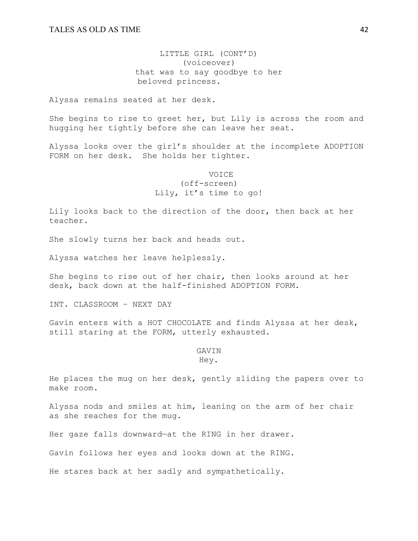LITTLE GIRL (CONT'D) (voiceover) that was to say goodbye to her beloved princess.

Alyssa remains seated at her desk.

She begins to rise to greet her, but Lily is across the room and hugging her tightly before she can leave her seat.

Alyssa looks over the girl's shoulder at the incomplete ADOPTION FORM on her desk. She holds her tighter.

> VOICE (off-screen) Lily, it's time to go!

Lily looks back to the direction of the door, then back at her teacher.

She slowly turns her back and heads out.

Alyssa watches her leave helplessly.

She begins to rise out of her chair, then looks around at her desk, back down at the half-finished ADOPTION FORM.

INT. CLASSROOM – NEXT DAY

Gavin enters with a HOT CHOCOLATE and finds Alyssa at her desk, still staring at the FORM, utterly exhausted.

#### GAVIN Hey.

He places the mug on her desk, gently sliding the papers over to make room.

Alyssa nods and smiles at him, leaning on the arm of her chair as she reaches for the mug.

Her gaze falls downward—at the RING in her drawer.

Gavin follows her eyes and looks down at the RING.

He stares back at her sadly and sympathetically.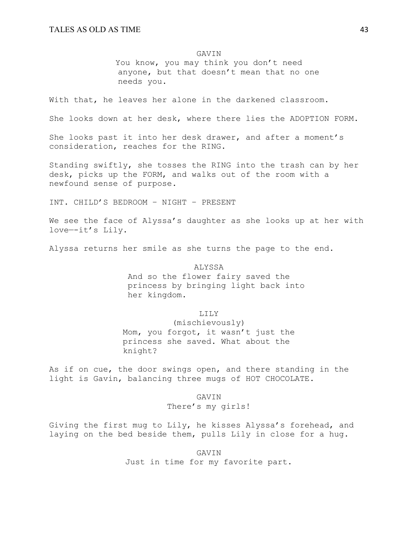#### GAVIN

You know, you may think you don't need anyone, but that doesn't mean that no one needs you.

With that, he leaves her alone in the darkened classroom.

She looks down at her desk, where there lies the ADOPTION FORM.

She looks past it into her desk drawer, and after a moment's consideration, reaches for the RING.

Standing swiftly, she tosses the RING into the trash can by her desk, picks up the FORM, and walks out of the room with a newfound sense of purpose.

INT. CHILD'S BEDROOM – NIGHT – PRESENT

We see the face of Alyssa's daughter as she looks up at her with love—-it's Lily.

Alyssa returns her smile as she turns the page to the end.

ALYSSA And so the flower fairy saved the princess by bringing light back into her kingdom.

LILY

(mischievously) Mom, you forgot, it wasn't just the princess she saved. What about the knight?

As if on cue, the door swings open, and there standing in the light is Gavin, balancing three mugs of HOT CHOCOLATE.

GAVIN

There's my girls!

Giving the first mug to Lily, he kisses Alyssa's forehead, and laying on the bed beside them, pulls Lily in close for a hug.

> GAVIN Just in time for my favorite part.